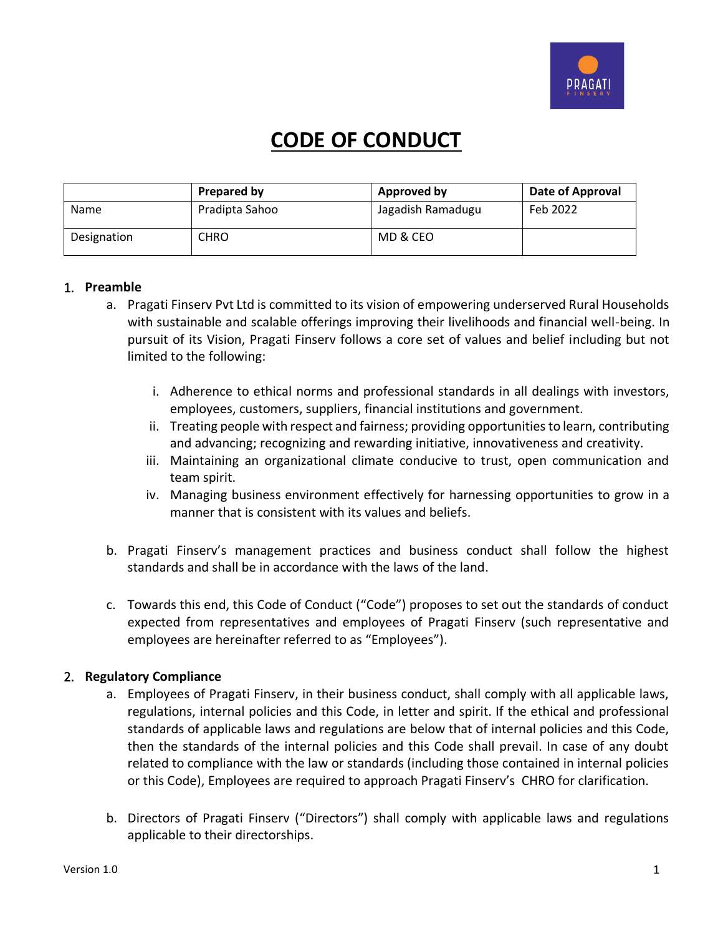

# **CODE OF CONDUCT**

|             | Prepared by    | <b>Approved by</b> | Date of Approval |
|-------------|----------------|--------------------|------------------|
| <b>Name</b> | Pradipta Sahoo | Jagadish Ramadugu  | Feb 2022         |
| Designation | CHRO           | MD & CEO           |                  |

#### 1. **Preamble**

- a. Pragati Finserv Pvt Ltd is committed to its vision of empowering underserved Rural Households with sustainable and scalable offerings improving their livelihoods and financial well-being. In pursuit of its Vision, Pragati Finserv follows a core set of values and belief including but not limited to the following:
	- i. Adherence to ethical norms and professional standards in all dealings with investors, employees, customers, suppliers, financial institutions and government.
	- ii. Treating people with respect and fairness; providing opportunities to learn, contributing and advancing; recognizing and rewarding initiative, innovativeness and creativity.
	- iii. Maintaining an organizational climate conducive to trust, open communication and team spirit.
	- iv. Managing business environment effectively for harnessing opportunities to grow in a manner that is consistent with its values and beliefs.
- b. Pragati Finserv's management practices and business conduct shall follow the highest standards and shall be in accordance with the laws of the land.
- c. Towards this end, this Code of Conduct ("Code") proposes to set out the standards of conduct expected from representatives and employees of Pragati Finserv (such representative and employees are hereinafter referred to as "Employees").

## 2. **Regulatory Compliance**

- a. Employees of Pragati Finserv, in their business conduct, shall comply with all applicable laws, regulations, internal policies and this Code, in letter and spirit. If the ethical and professional standards of applicable laws and regulations are below that of internal policies and this Code, then the standards of the internal policies and this Code shall prevail. In case of any doubt related to compliance with the law or standards (including those contained in internal policies or this Code), Employees are required to approach Pragati Finserv's CHRO for clarification.
- b. Directors of Pragati Finserv ("Directors") shall comply with applicable laws and regulations applicable to their directorships.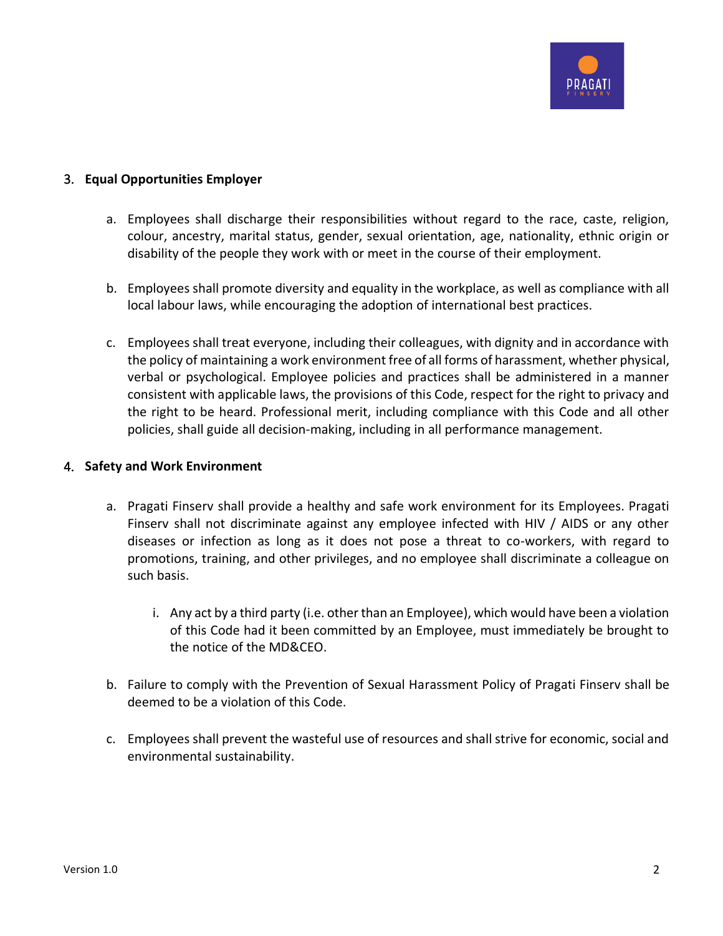

## 3. **Equal Opportunities Employer**

- a. Employees shall discharge their responsibilities without regard to the race, caste, religion, colour, ancestry, marital status, gender, sexual orientation, age, nationality, ethnic origin or disability of the people they work with or meet in the course of their employment.
- b. Employees shall promote diversity and equality in the workplace, as well as compliance with all local labour laws, while encouraging the adoption of international best practices.
- c. Employees shall treat everyone, including their colleagues, with dignity and in accordance with the policy of maintaining a work environment free of all forms of harassment, whether physical, verbal or psychological. Employee policies and practices shall be administered in a manner consistent with applicable laws, the provisions of this Code, respect for the right to privacy and the right to be heard. Professional merit, including compliance with this Code and all other policies, shall guide all decision-making, including in all performance management.

### 4. **Safety and Work Environment**

- a. Pragati Finserv shall provide a healthy and safe work environment for its Employees. Pragati Finserv shall not discriminate against any employee infected with HIV / AIDS or any other diseases or infection as long as it does not pose a threat to co-workers, with regard to promotions, training, and other privileges, and no employee shall discriminate a colleague on such basis.
	- i. Any act by a third party (i.e. other than an Employee), which would have been a violation of this Code had it been committed by an Employee, must immediately be brought to the notice of the MD&CEO.
- b. Failure to comply with the Prevention of Sexual Harassment Policy of Pragati Finserv shall be deemed to be a violation of this Code.
- c. Employees shall prevent the wasteful use of resources and shall strive for economic, social and environmental sustainability.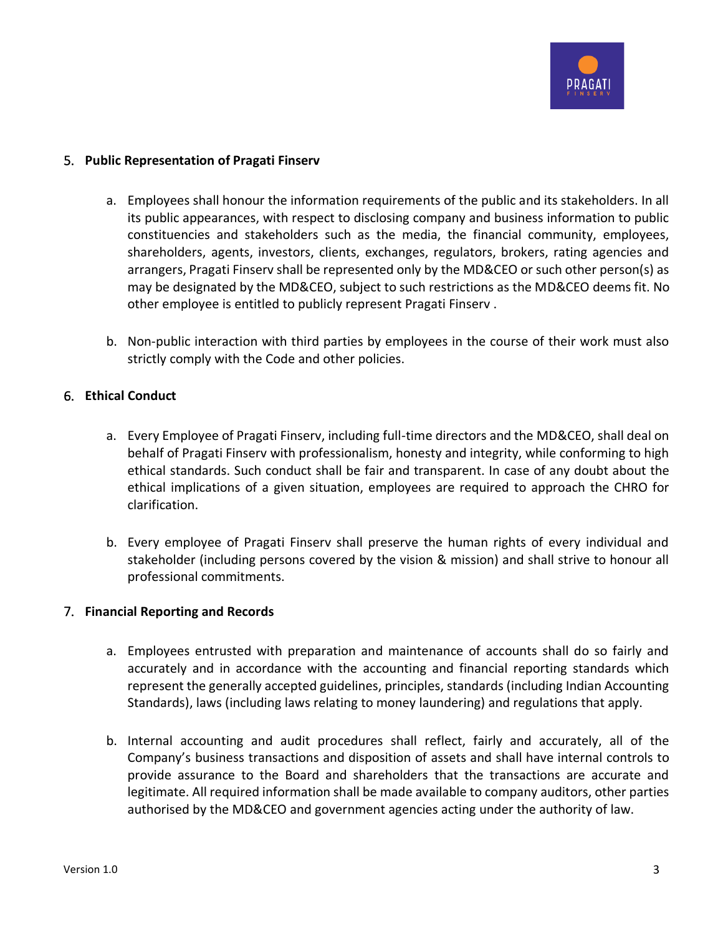

## 5. **Public Representation of Pragati Finserv**

- a. Employees shall honour the information requirements of the public and its stakeholders. In all its public appearances, with respect to disclosing company and business information to public constituencies and stakeholders such as the media, the financial community, employees, shareholders, agents, investors, clients, exchanges, regulators, brokers, rating agencies and arrangers, Pragati Finserv shall be represented only by the MD&CEO or such other person(s) as may be designated by the MD&CEO, subject to such restrictions as the MD&CEO deems fit. No other employee is entitled to publicly represent Pragati Finserv .
- b. Non-public interaction with third parties by employees in the course of their work must also strictly comply with the Code and other policies.

## 6. **Ethical Conduct**

- a. Every Employee of Pragati Finserv, including full-time directors and the MD&CEO, shall deal on behalf of Pragati Finserv with professionalism, honesty and integrity, while conforming to high ethical standards. Such conduct shall be fair and transparent. In case of any doubt about the ethical implications of a given situation, employees are required to approach the CHRO for clarification.
- b. Every employee of Pragati Finserv shall preserve the human rights of every individual and stakeholder (including persons covered by the vision & mission) and shall strive to honour all professional commitments.

#### 7. **Financial Reporting and Records**

- a. Employees entrusted with preparation and maintenance of accounts shall do so fairly and accurately and in accordance with the accounting and financial reporting standards which represent the generally accepted guidelines, principles, standards (including Indian Accounting Standards), laws (including laws relating to money laundering) and regulations that apply.
- b. Internal accounting and audit procedures shall reflect, fairly and accurately, all of the Company's business transactions and disposition of assets and shall have internal controls to provide assurance to the Board and shareholders that the transactions are accurate and legitimate. All required information shall be made available to company auditors, other parties authorised by the MD&CEO and government agencies acting under the authority of law.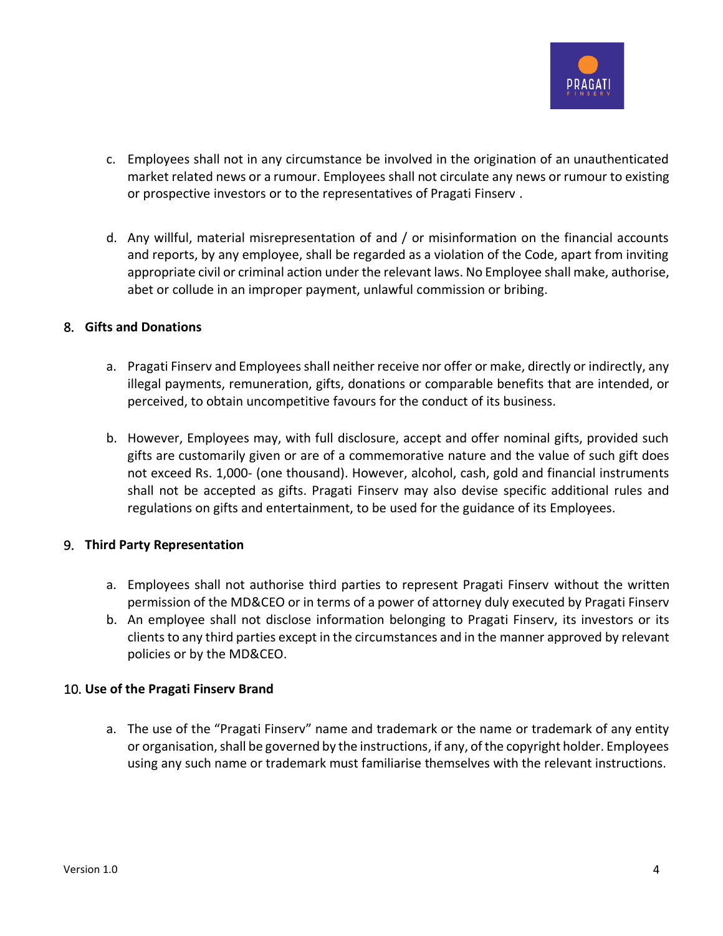

- c. Employees shall not in any circumstance be involved in the origination of an unauthenticated market related news or a rumour. Employees shall not circulate any news or rumour to existing or prospective investors or to the representatives of Pragati Finserv .
- d. Any willful, material misrepresentation of and / or misinformation on the financial accounts and reports, by any employee, shall be regarded as a violation of the Code, apart from inviting appropriate civil or criminal action under the relevant laws. No Employee shall make, authorise, abet or collude in an improper payment, unlawful commission or bribing.

#### 8. **Gifts and Donations**

- a. Pragati Finserv and Employees shall neither receive nor offer or make, directly or indirectly, any illegal payments, remuneration, gifts, donations or comparable benefits that are intended, or perceived, to obtain uncompetitive favours for the conduct of its business.
- b. However, Employees may, with full disclosure, accept and offer nominal gifts, provided such gifts are customarily given or are of a commemorative nature and the value of such gift does not exceed Rs. 1,000- (one thousand). However, alcohol, cash, gold and financial instruments shall not be accepted as gifts. Pragati Finserv may also devise specific additional rules and regulations on gifts and entertainment, to be used for the guidance of its Employees.

## 9. **Third Party Representation**

- a. Employees shall not authorise third parties to represent Pragati Finserv without the written permission of the MD&CEO or in terms of a power of attorney duly executed by Pragati Finserv
- b. An employee shall not disclose information belonging to Pragati Finserv, its investors or its clients to any third parties except in the circumstances and in the manner approved by relevant policies or by the MD&CEO.

## 10. **Use of the Pragati Finserv Brand**

a. The use of the "Pragati Finserv" name and trademark or the name or trademark of any entity or organisation, shall be governed by the instructions, if any, of the copyright holder. Employees using any such name or trademark must familiarise themselves with the relevant instructions.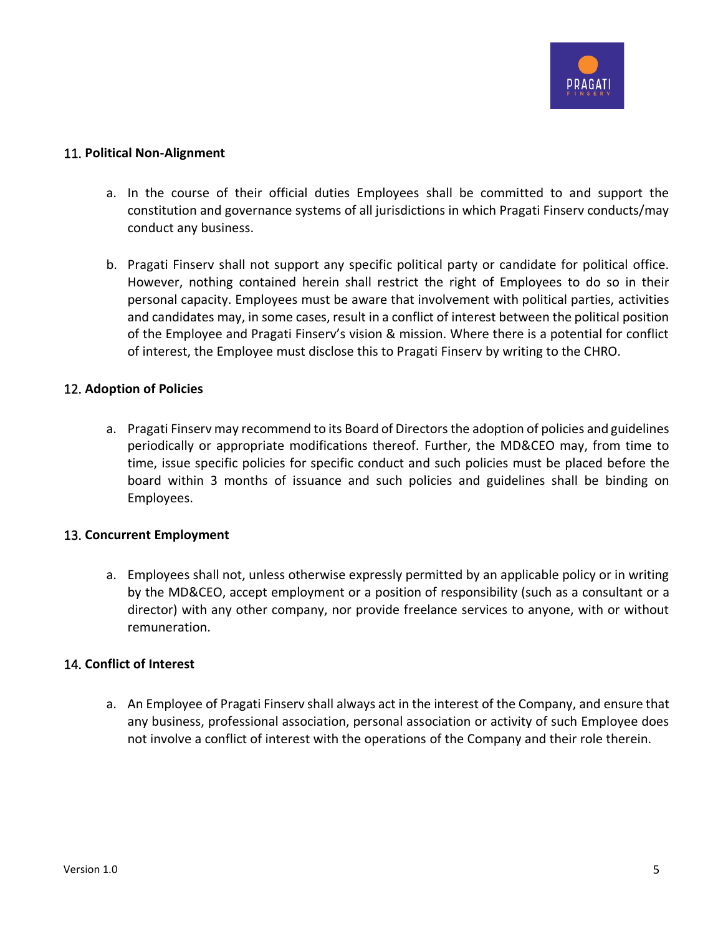

### 11. **Political Non-Alignment**

- a. In the course of their official duties Employees shall be committed to and support the constitution and governance systems of all jurisdictions in which Pragati Finserv conducts/may conduct any business.
- b. Pragati Finserv shall not support any specific political party or candidate for political office. However, nothing contained herein shall restrict the right of Employees to do so in their personal capacity. Employees must be aware that involvement with political parties, activities and candidates may, in some cases, result in a conflict of interest between the political position of the Employee and Pragati Finserv's vision & mission. Where there is a potential for conflict of interest, the Employee must disclose this to Pragati Finserv by writing to the CHRO.

#### 12. **Adoption of Policies**

a. Pragati Finserv may recommend to its Board of Directors the adoption of policies and guidelines periodically or appropriate modifications thereof. Further, the MD&CEO may, from time to time, issue specific policies for specific conduct and such policies must be placed before the board within 3 months of issuance and such policies and guidelines shall be binding on Employees.

## 13. **Concurrent Employment**

a. Employees shall not, unless otherwise expressly permitted by an applicable policy or in writing by the MD&CEO, accept employment or a position of responsibility (such as a consultant or a director) with any other company, nor provide freelance services to anyone, with or without remuneration.

#### 14. **Conflict of Interest**

a. An Employee of Pragati Finserv shall always act in the interest of the Company, and ensure that any business, professional association, personal association or activity of such Employee does not involve a conflict of interest with the operations of the Company and their role therein.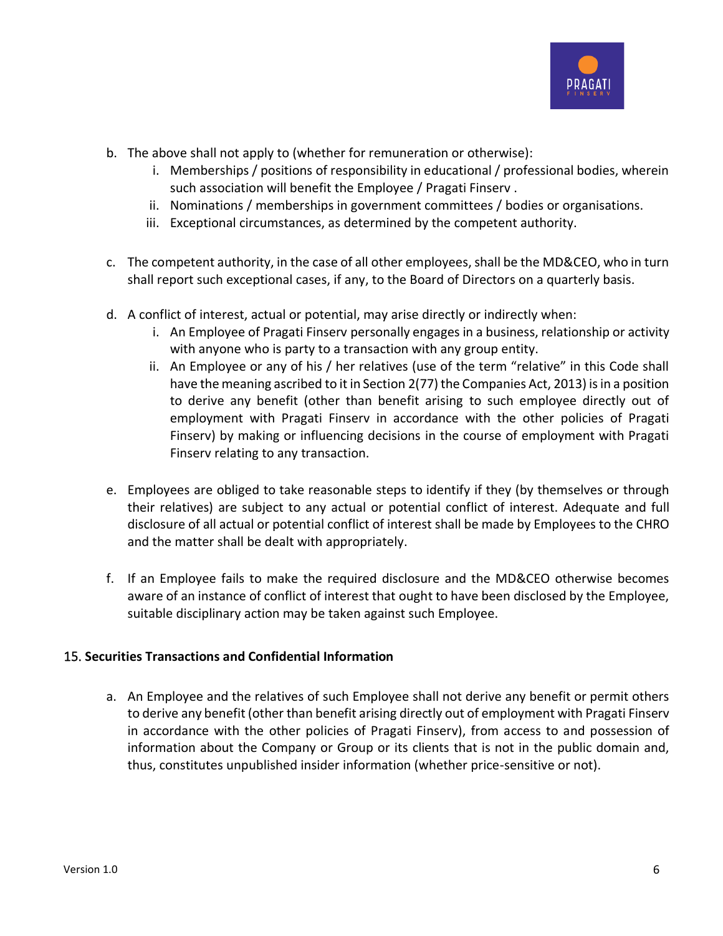

- b. The above shall not apply to (whether for remuneration or otherwise):
	- i. Memberships / positions of responsibility in educational / professional bodies, wherein such association will benefit the Employee / Pragati Finserv .
	- ii. Nominations / memberships in government committees / bodies or organisations.
	- iii. Exceptional circumstances, as determined by the competent authority.
- c. The competent authority, in the case of all other employees, shall be the MD&CEO, who in turn shall report such exceptional cases, if any, to the Board of Directors on a quarterly basis.
- d. A conflict of interest, actual or potential, may arise directly or indirectly when:
	- i. An Employee of Pragati Finserv personally engages in a business, relationship or activity with anyone who is party to a transaction with any group entity.
	- ii. An Employee or any of his / her relatives (use of the term "relative" in this Code shall have the meaning ascribed to it in Section 2(77) the Companies Act, 2013) is in a position to derive any benefit (other than benefit arising to such employee directly out of employment with Pragati Finserv in accordance with the other policies of Pragati Finserv) by making or influencing decisions in the course of employment with Pragati Finserv relating to any transaction.
- e. Employees are obliged to take reasonable steps to identify if they (by themselves or through their relatives) are subject to any actual or potential conflict of interest. Adequate and full disclosure of all actual or potential conflict of interest shall be made by Employees to the CHRO and the matter shall be dealt with appropriately.
- f. If an Employee fails to make the required disclosure and the MD&CEO otherwise becomes aware of an instance of conflict of interest that ought to have been disclosed by the Employee, suitable disciplinary action may be taken against such Employee.

## 15. **Securities Transactions and Confidential Information**

a. An Employee and the relatives of such Employee shall not derive any benefit or permit others to derive any benefit (other than benefit arising directly out of employment with Pragati Finserv in accordance with the other policies of Pragati Finserv), from access to and possession of information about the Company or Group or its clients that is not in the public domain and, thus, constitutes unpublished insider information (whether price-sensitive or not).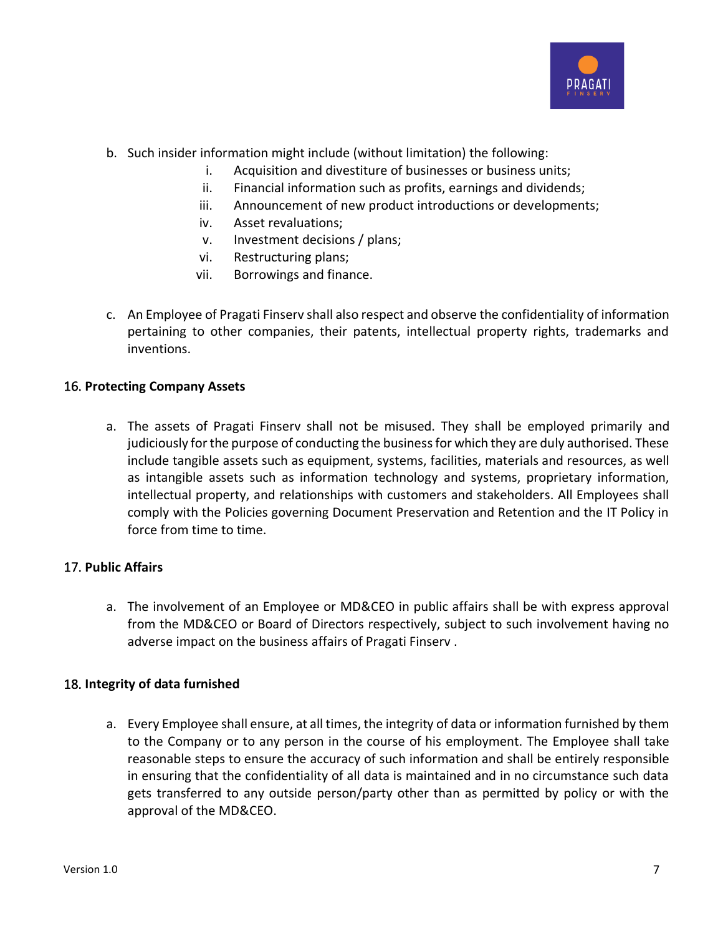

- b. Such insider information might include (without limitation) the following:
	- i. Acquisition and divestiture of businesses or business units;
	- ii. Financial information such as profits, earnings and dividends;
	- iii. Announcement of new product introductions or developments;
	- iv. Asset revaluations;
	- v. Investment decisions / plans;
	- vi. Restructuring plans;
	- vii. Borrowings and finance.
- c. An Employee of Pragati Finserv shall also respect and observe the confidentiality of information pertaining to other companies, their patents, intellectual property rights, trademarks and inventions.

## 16. **Protecting Company Assets**

a. The assets of Pragati Finserv shall not be misused. They shall be employed primarily and judiciously for the purpose of conducting the business for which they are duly authorised. These include tangible assets such as equipment, systems, facilities, materials and resources, as well as intangible assets such as information technology and systems, proprietary information, intellectual property, and relationships with customers and stakeholders. All Employees shall comply with the Policies governing Document Preservation and Retention and the IT Policy in force from time to time.

## 17. **Public Affairs**

a. The involvement of an Employee or MD&CEO in public affairs shall be with express approval from the MD&CEO or Board of Directors respectively, subject to such involvement having no adverse impact on the business affairs of Pragati Finserv .

## 18. **Integrity of data furnished**

a. Every Employee shall ensure, at all times, the integrity of data or information furnished by them to the Company or to any person in the course of his employment. The Employee shall take reasonable steps to ensure the accuracy of such information and shall be entirely responsible in ensuring that the confidentiality of all data is maintained and in no circumstance such data gets transferred to any outside person/party other than as permitted by policy or with the approval of the MD&CEO.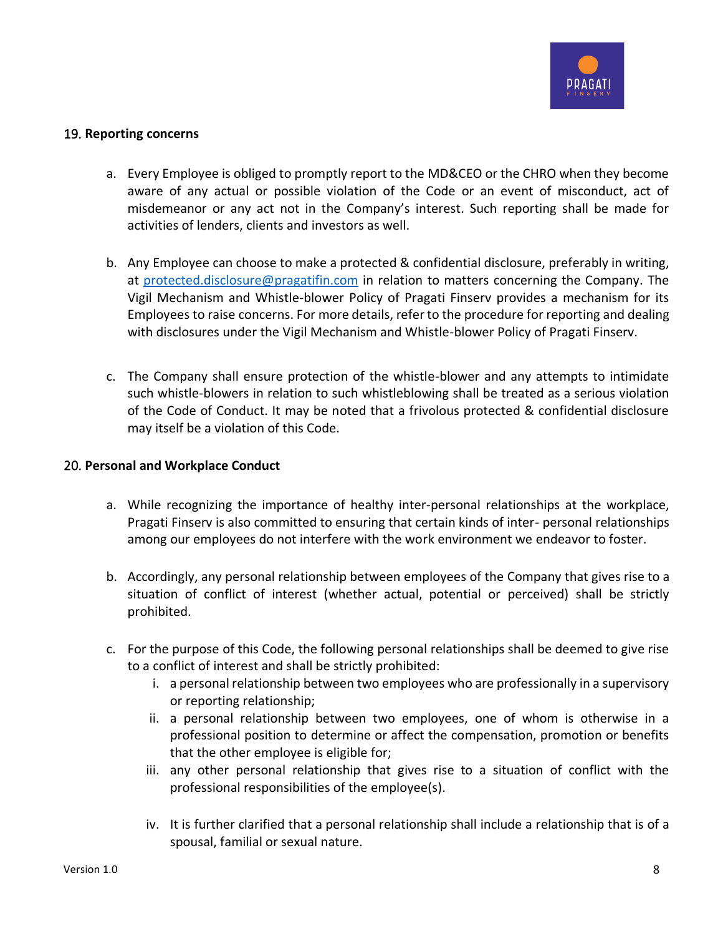

## 19. **Reporting concerns**

- a. Every Employee is obliged to promptly report to the MD&CEO or the CHRO when they become aware of any actual or possible violation of the Code or an event of misconduct, act of misdemeanor or any act not in the Company's interest. Such reporting shall be made for activities of lenders, clients and investors as well.
- b. Any Employee can choose to make a protected & confidential disclosure, preferably in writing, at [protected.disclosure@pragatifin.com](mailto:protected.disclosure@pragatifin.com) in relation to matters concerning the Company. The Vigil Mechanism and Whistle-blower Policy of Pragati Finserv provides a mechanism for its Employees to raise concerns. For more details, refer to the procedure for reporting and dealing with disclosures under the Vigil Mechanism and Whistle-blower Policy of Pragati Finserv.
- c. The Company shall ensure protection of the whistle-blower and any attempts to intimidate such whistle-blowers in relation to such whistleblowing shall be treated as a serious violation of the Code of Conduct. It may be noted that a frivolous protected & confidential disclosure may itself be a violation of this Code.

### 20. **Personal and Workplace Conduct**

- a. While recognizing the importance of healthy inter-personal relationships at the workplace, Pragati Finserv is also committed to ensuring that certain kinds of inter- personal relationships among our employees do not interfere with the work environment we endeavor to foster.
- b. Accordingly, any personal relationship between employees of the Company that gives rise to a situation of conflict of interest (whether actual, potential or perceived) shall be strictly prohibited.
- c. For the purpose of this Code, the following personal relationships shall be deemed to give rise to a conflict of interest and shall be strictly prohibited:
	- i. a personal relationship between two employees who are professionally in a supervisory or reporting relationship;
	- ii. a personal relationship between two employees, one of whom is otherwise in a professional position to determine or affect the compensation, promotion or benefits that the other employee is eligible for;
	- iii. any other personal relationship that gives rise to a situation of conflict with the professional responsibilities of the employee(s).
	- iv. It is further clarified that a personal relationship shall include a relationship that is of a spousal, familial or sexual nature.